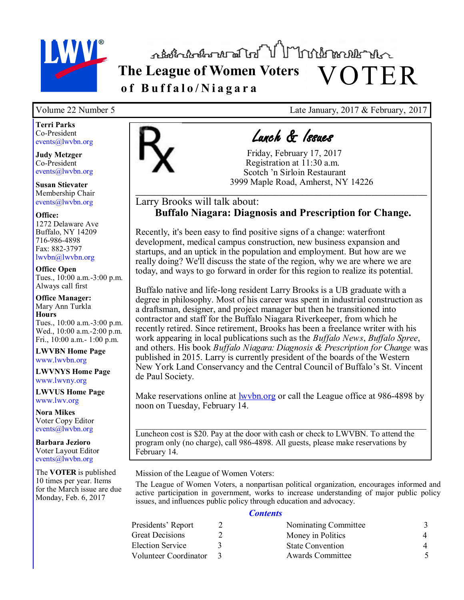

**The League of Women Voters** VOTER **o f B u f f a l o / N i a g a r a**

**Terri Parks** Co-President events@lwvbn.org

**Judy Metzger** Co-President events@lwvbn.org

**Susan Stievater** Membership Chair events@lwvbn.org

**Office:** 1272 Delaware Ave Buffalo, NY 14209 716-986-4898 Fax: 882-3797 lwvbn@lwvbn.org

**Office Open** Tues., 10:00 a.m.-3:00 p.m. Always call first

**Office Manager:** Mary Ann Turkla **Hours** Tues., 10:00 a.m.-3:00 p.m. Wed., 10:00 a.m.-2:00 p.m. Fri., 10:00 a.m.- 1:00 p.m.

**LWVBN Home Page** www.lwvbn.org

**LWVNYS Home Page**  www.lwvny.org

**LWVUS Home Page** www.lwv.org

**Nora Mikes** Voter Copy Editor events@lwvbn.org

**Barbara Jezioro** Voter Layout Editor events@lwvbn.org

The **VOTER** is published 10 times per year. Items for the March issue are due Monday, Feb. 6, 2017



# Lunch & Issues

 Friday, February 17, 2017 Registration at 11:30 a.m. Scotch 'n Sirloin Restaurant 3999 Maple Road, Amherst, NY 14226

### Larry Brooks will talk about: **Buffalo Niagara: Diagnosis and Prescription for Change.**

 $\overline{\phantom{a}}$  ,  $\overline{\phantom{a}}$  ,  $\overline{\phantom{a}}$  ,  $\overline{\phantom{a}}$  ,  $\overline{\phantom{a}}$  ,  $\overline{\phantom{a}}$  ,  $\overline{\phantom{a}}$  ,  $\overline{\phantom{a}}$  ,  $\overline{\phantom{a}}$  ,  $\overline{\phantom{a}}$  ,  $\overline{\phantom{a}}$  ,  $\overline{\phantom{a}}$  ,  $\overline{\phantom{a}}$  ,  $\overline{\phantom{a}}$  ,  $\overline{\phantom{a}}$  ,  $\overline{\phantom{a}}$ 

Recently, it's been easy to find positive signs of a change: waterfront development, medical campus construction, new business expansion and startups, and an uptick in the population and employment. But how are we really doing? We'll discuss the state of the region, why we are where we are today, and ways to go forward in order for this region to realize its potential.

Buffalo native and life-long resident Larry Brooks is a UB graduate with a degree in philosophy. Most of his career was spent in industrial construction as a draftsman, designer, and project manager but then he transitioned into contractor and staff for the Buffalo Niagara Riverkeeper, from which he recently retired. Since retirement, Brooks has been a freelance writer with his work appearing in local publications such as the *Buffalo News*, *Buffalo Spree*, and others. His book *Buffalo Niagara: Diagnosis & Prescription for Change* was published in 2015. Larry is currently president of the boards of the Western New York Land Conservancy and the Central Council of Buffalo's St. Vincent de Paul Society.

Make reservations online at **[lwvbn.org](http://www.lwvbn.org)** or call the League office at 986-4898 by noon on Tuesday, February 14.

Luncheon cost is \$20. Pay at the door with cash or check to LWVBN. To attend the program only (no charge), call 986-4898. All guests, please make reservations by February 14.

Mission of the League of Women Voters:

The League of Women Voters, a nonpartisan political organization, encourages informed and active participation in government, works to increase understanding of major public policy issues, and influences public policy through education and advocacy.

#### *Contents*

| Presidents' Report    | Nominating Committee    |  |
|-----------------------|-------------------------|--|
| Great Decisions       | Money in Politics       |  |
| Election Service      | <b>State Convention</b> |  |
| Volunteer Coordinator | Awards Committee        |  |

Volume 22 Number 5 Late January, 2017 & February, 2017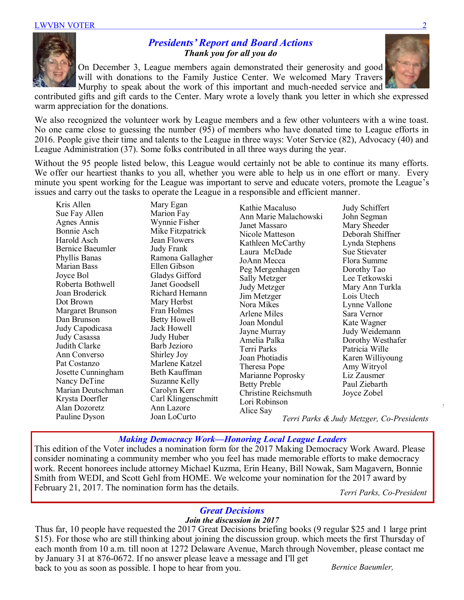### *Presidents' Report and Board Actions Thank you for all you do*

On December 3, League members again demonstrated their generosity and good will with donations to the Family Justice Center. We welcomed Mary Travers Murphy to speak about the work of this important and much-needed service and

contributed gifts and gift cards to the Center. Mary wrote a lovely thank you letter in which she expressed warm appreciation for the donations.

We also recognized the volunteer work by League members and a few other volunteers with a wine toast. No one came close to guessing the number (95) of members who have donated time to League efforts in 2016. People give their time and talents to the League in three ways: Voter Service (82), Advocacy (40) and League Administration (37). Some folks contributed in all three ways during the year.

Without the 95 people listed below, this League would certainly not be able to continue its many efforts. We offer our heartiest thanks to you all, whether you were able to help us in one effort or many. Every minute you spent working for the League was important to serve and educate voters, promote the League's issues and carry out the tasks to operate the League in a responsible and efficient manner.

Kris Allen Sue Fay Allen Agnes Annis Bonnie Asch Harold Asch Bernice Baeumler Phyllis Banas Marian Bass Joyce Bol Roberta Bothwell Joan Broderick Dot Brown Margaret Brunson Dan Brunson Judy Capodicasa Judy Casassa Judith Clarke Ann Converso Pat Costanzo Josette Cunningham Nancy DeTine Marian Deutschman Krysta Doerfler Alan Dozoretz Pauline Dyson

Mary Egan Marion Fay Wynnie Fisher Mike Fitzpatrick Jean Flowers Judy Frank Ramona Gallagher Ellen Gibson Gladys Gifford Janet Goodsell Richard Hemann Mary Herbst Fran Holmes Betty Howell Jack Howell Judy Huber Barb Jezioro Shirley Joy Marlene Katzel Beth Kauffman Suzanne Kelly Carolyn Kerr Carl Klingenschmitt Ann Lazore Joan LoCurto

Kathie Macaluso Ann Marie Malachowski Janet Massaro Nicole Matteson Kathleen McCarthy Laura McDade JoAnn Mecca Peg Mergenhagen Sally Metzger Judy Metzger Jim Metzger Nora Mikes Arlene Miles Joan Mondul Jayne Murray Amelia Palka Terri Parks Joan Photiadis Theresa Pope Marianne Poprosky Betty Preble Christine Reichsmuth Lori Robinson Alice Say

Judy Schiffert John Segman Mary Sheeder Deborah Shiffner Lynda Stephens Sue Stievater Flora Summe Dorothy Tao Lee Tetkowski Mary Ann Turkla Lois Utech Lynne Vallone Sara Vernor Kate Wagner Judy Weidemann Dorothy Westhafer Patricia Wille Karen Williyoung Amy Witryol Liz Zausmer Paul Ziebarth Joyce Zobel

*Terri Parks & Judy Metzger, Co-Presidents*

### *Making Democracy Work—Honoring Local League Leaders*

This edition of the Voter includes a nomination form for the 2017 Making Democracy Work Award. Please consider nominating a community member who you feel has made memorable efforts to make democracy work. Recent honorees include attorney Michael Kuzma, Erin Heany, Bill Nowak, Sam Magavern, Bonnie Smith from WEDI, and Scott Gehl from HOME. We welcome your nomination for the 2017 award by February 21, 2017. The nomination form has the details.

*Terri Parks, Co-President* 

*Judy Metzger & Terri Parks*

# *Great Decisions*

### *Join the discussion in 2017*

Thus far, 10 people have requested the 2017 Great Decisions briefing books (9 regular \$25 and 1 large print \$15). For those who are still thinking about joining the discussion group. which meets the first Thursday of each month from 10 a.m. till noon at 1272 Delaware Avenue, March through November, please contact me by January 31 at 876-0672. If no answer please leave a message and I'll get back to you as soon as possible. I hope to hear from you. *Bernice Baeumler,* 

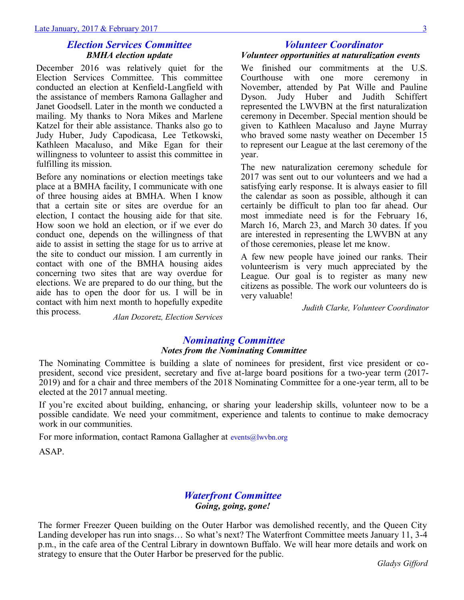#### *Election Services Committee BMHA election update*

December 2016 was relatively quiet for the Election Services Committee. This committee conducted an election at Kenfield-Langfield with the assistance of members Ramona Gallagher and Janet Goodsell. Later in the month we conducted a mailing. My thanks to Nora Mikes and Marlene Katzel for their able assistance. Thanks also go to Judy Huber, Judy Capodicasa, Lee Tetkowski, Kathleen Macaluso, and Mike Egan for their willingness to volunteer to assist this committee in fulfilling its mission.

Before any nominations or election meetings take place at a BMHA facility, I communicate with one of three housing aides at BMHA. When I know that a certain site or sites are overdue for an election, I contact the housing aide for that site. How soon we hold an election, or if we ever do conduct one, depends on the willingness of that aide to assist in setting the stage for us to arrive at the site to conduct our mission. I am currently in contact with one of the BMHA housing aides concerning two sites that are way overdue for elections. We are prepared to do our thing, but the aide has to open the door for us. I will be in contact with him next month to hopefully expedite this process.

## *Volunteer Coordinator Volunteer opportunities at naturalization events*

We finished our commitments at the U.S. Courthouse with one more ceremony in November, attended by Pat Wille and Pauline Dyson. Judy Huber and Judith Schiffert represented the LWVBN at the first naturalization ceremony in December. Special mention should be given to Kathleen Macaluso and Jayne Murray who braved some nasty weather on December 15 to represent our League at the last ceremony of the year.

The new naturalization ceremony schedule for 2017 was sent out to our volunteers and we had a satisfying early response. It is always easier to fill the calendar as soon as possible, although it can certainly be difficult to plan too far ahead. Our most immediate need is for the February 16, March 16, March 23, and March 30 dates. If you are interested in representing the LWVBN at any of those ceremonies, please let me know.

A few new people have joined our ranks. Their volunteerism is very much appreciated by the League. Our goal is to register as many new citizens as possible. The work our volunteers do is very valuable!

*Judith Clarke, Volunteer Coordinator*

*Alan Dozoretz, Election Services* 

#### *Nominating Committee Notes from the Nominating Committee*

The Nominating Committee is building a slate of nominees for president, first vice president or copresident, second vice president, secretary and five at-large board positions for a two-year term (2017- 2019) and for a chair and three members of the 2018 Nominating Committee for a one-year term, all to be elected at the 2017 annual meeting.

If you're excited about building, enhancing, or sharing your leadership skills, volunteer now to be a possible candidate. We need your commitment, experience and talents to continue to make democracy work in our communities.

For more information, contact Ramona Gallagher at events@lwvbn.org

ASAP.

### *Waterfront Committee Going, going, gone!*

The former Freezer Queen building on the Outer Harbor was demolished recently, and the Queen City Landing developer has run into snags… So what's next? The Waterfront Committee meets January 11, 3-4 p.m., in the cafe area of the Central Library in downtown Buffalo. We will hear more details and work on strategy to ensure that the Outer Harbor be preserved for the public.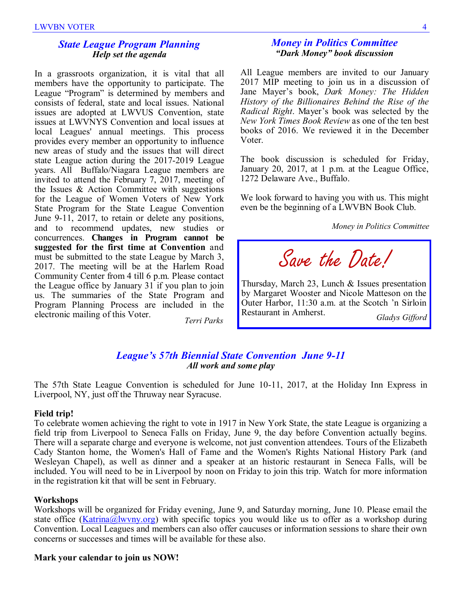#### *State League Program Planning Help set the agenda*

In a grassroots organization, it is vital that all members have the opportunity to participate. The League "Program" is determined by members and consists of federal, state and local issues. National issues are adopted at LWVUS Convention, state issues at LWVNYS Convention and local issues at local Leagues' annual meetings. This process provides every member an opportunity to influence new areas of study and the issues that will direct state League action during the 2017-2019 League years. All Buffalo/Niagara League members are invited to attend the February 7, 2017, meeting of the Issues & Action Committee with suggestions for the League of Women Voters of New York State Program for the State League Convention June 9-11, 2017, to retain or delete any positions, and to recommend updates, new studies or concurrences. **Changes in Program cannot be suggested for the first time at Convention** and must be submitted to the state League by March 3, 2017. The meeting will be at the Harlem Road Community Center from 4 till 6 p.m. Please contact the League office by January 31 if you plan to join us. The summaries of the State Program and Program Planning Process are included in the electronic mailing of this Voter. *Terri Parks*

#### *Money in Politics Committee "Dark Money" book discussion*

All League members are invited to our January 2017 MIP meeting to join us in a discussion of Jane Mayer's book, *Dark Money: The Hidden History of the Billionaires Behind the Rise of the Radical Right*. Mayer's book was selected by the *New York Times Book Review* as one of the ten best books of 2016. We reviewed it in the December Voter.

The book discussion is scheduled for Friday, January 20, 2017, at 1 p.m. at the League Office, 1272 Delaware Ave., Buffalo.

We look forward to having you with us. This might even be the beginning of a LWVBN Book Club.

*Money in Politics Committee*

Save the Date!

Thursday, March 23, Lunch & Issues presentation by Margaret Wooster and Nicole Matteson on the Outer Harbor, 11:30 a.m. at the Scotch 'n Sirloin Restaurant in Amherst.

*Gladys Gifford*

#### *League's 57th Biennial State Convention June 9-11 All work and some play*

The 57th State League Convention is scheduled for June 10-11, 2017, at the Holiday Inn Express in Liverpool, NY, just off the Thruway near Syracuse.

#### **Field trip!**

To celebrate women achieving the right to vote in 1917 in New York State, the state League is organizing a field trip from Liverpool to Seneca Falls on Friday, June 9, the day before Convention actually begins. There will a separate charge and everyone is welcome, not just convention attendees. Tours of the Elizabeth Cady Stanton home, the Women's Hall of Fame and the Women's Rights National History Park (and Wesleyan Chapel), as well as dinner and a speaker at an historic restaurant in Seneca Falls, will be included. You will need to be in Liverpool by noon on Friday to join this trip. Watch for more information in the registration kit that will be sent in February.

#### **Workshops**

Workshops will be organized for Friday evening, June 9, and Saturday morning, June 10. Please email the state office ( $Katrina@lwyny.org$ ) with specific topics you would like us to offer as a workshop during Convention. Local Leagues and members can also offer caucuses or information sessions to share their own concerns or successes and times will be available for these also.

### **Mark your calendar to join us NOW!**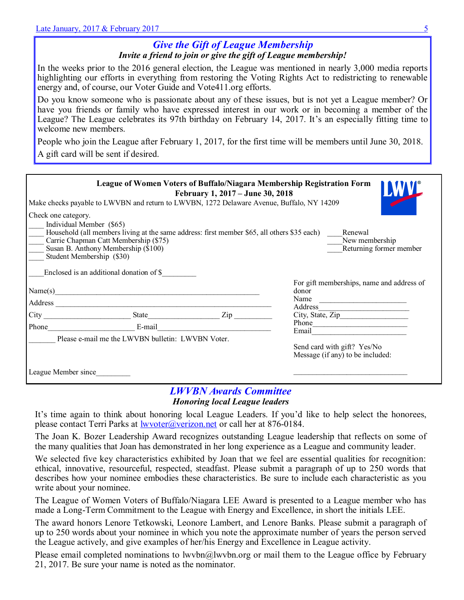# *Give the Gift of League Membership Invite a friend to join or give the gift of League membership!*

In the weeks prior to the 2016 general election, the League was mentioned in nearly 3,000 media reports highlighting our efforts in everything from restoring the Voting Rights Act to redistricting to renewable energy and, of course, our Voter Guide and Vote411.org efforts.

Do you know someone who is passionate about any of these issues, but is not yet a League member? Or have you friends or family who have expressed interest in our work or in becoming a member of the League? The League celebrates its 97th birthday on February 14, 2017. It's an especially fitting time to welcome new members.

People who join the League after February 1, 2017, for the first time will be members until June 30, 2018. A gift card will be sent if desired.

| League of Women Voters of Buffalo/Niagara Membership Registration Form<br>February 1, 2017 – June 30, 2018<br>Make checks payable to LWVBN and return to LWVBN, 1272 Delaware Avenue, Buffalo, NY 14209 |                                                                                             |     |                                           |  |  |  |
|---------------------------------------------------------------------------------------------------------------------------------------------------------------------------------------------------------|---------------------------------------------------------------------------------------------|-----|-------------------------------------------|--|--|--|
| Check one category.                                                                                                                                                                                     |                                                                                             |     |                                           |  |  |  |
| Individual Member (\$65)                                                                                                                                                                                | Household (all members living at the same address: first member \$65, all others \$35 each) |     | Renewal                                   |  |  |  |
| Carrie Chapman Catt Membership (\$75)<br>New membership                                                                                                                                                 |                                                                                             |     |                                           |  |  |  |
| Susan B. Anthony Membership (\$100)<br>Returning former member<br>Student Membership (\$30)                                                                                                             |                                                                                             |     |                                           |  |  |  |
|                                                                                                                                                                                                         |                                                                                             |     |                                           |  |  |  |
|                                                                                                                                                                                                         | Enclosed is an additional donation of \$                                                    |     |                                           |  |  |  |
|                                                                                                                                                                                                         |                                                                                             |     | For gift memberships, name and address of |  |  |  |
| Name(s)                                                                                                                                                                                                 |                                                                                             |     | donor<br>Name                             |  |  |  |
| Address                                                                                                                                                                                                 |                                                                                             |     | Address                                   |  |  |  |
| City                                                                                                                                                                                                    | State                                                                                       | Zip | City, State, Zip                          |  |  |  |
| Phone                                                                                                                                                                                                   | E-mail                                                                                      |     | Phone                                     |  |  |  |
|                                                                                                                                                                                                         |                                                                                             |     | Email                                     |  |  |  |
|                                                                                                                                                                                                         | Please e-mail me the LWVBN bulletin: LWVBN Voter.                                           |     | Send card with gift? Yes/No               |  |  |  |
|                                                                                                                                                                                                         |                                                                                             |     | Message (if any) to be included:          |  |  |  |
|                                                                                                                                                                                                         |                                                                                             |     |                                           |  |  |  |
| League Member since                                                                                                                                                                                     |                                                                                             |     |                                           |  |  |  |

### *LWVBN Awards Committee Honoring local League leaders*

It's time again to think about honoring local League Leaders. If you'd like to help select the honorees, please contact Terri Parks at [lwvoter@verizon.net](mailto:lwvoter@verizon.net) or call her at 876-0184.

The Joan K. Bozer Leadership Award recognizes outstanding League leadership that reflects on some of the many qualities that Joan has demonstrated in her long experience as a League and community leader.

We selected five key characteristics exhibited by Joan that we feel are essential qualities for recognition: ethical, innovative, resourceful, respected, steadfast. Please submit a paragraph of up to 250 words that describes how your nominee embodies these characteristics. Be sure to include each characteristic as you write about your nominee.

The League of Women Voters of Buffalo/Niagara LEE Award is presented to a League member who has made a Long-Term Commitment to the League with Energy and Excellence, in short the initials LEE.

The award honors Lenore Tetkowski, Leonore Lambert, and Lenore Banks. Please submit a paragraph of up to 250 words about your nominee in which you note the approximate number of years the person served the League actively, and give examples of her/his Energy and Excellence in League activity.

Please email completed nominations to lwvbn@lwvbn.org or mail them to the League office by February 21, 2017. Be sure your name is noted as the nominator.